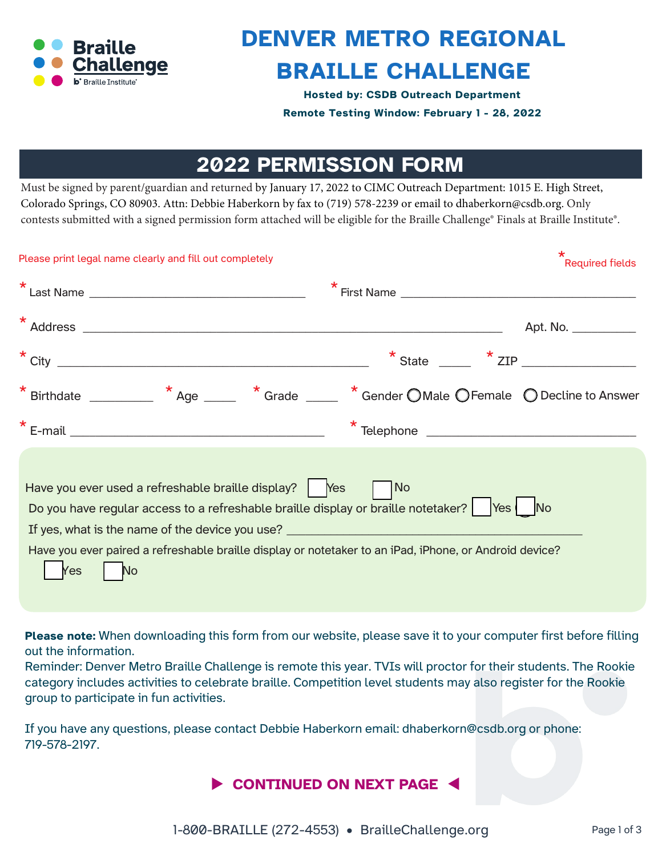

## **DENVER METRO REGIONAL BRAILLE CHALLENGE**

**Hosted by: CSDB Outreach Department Remote Testing Window: February 1 - 28, 2022**

## **2022 PERMISSION FORM**

Must be signed by parent/guardian and returned by January 17, 2022 to CIMC Outreach Department: 1015 E. High Street, Colorado Springs, CO 80903. Attn: Debbie Haberkorn by fax to (719) 5[78-2239 or email to dhaberkorn@cs](mailto:mandy.clayton@msb.dese.mo.gov)db.org. Only contests submitted with a signed permission form attached will be eligible for the Braille Challenge® Finals at Braille Institute®.

| Please print legal name clearly and fill out completely                                                                                                                                                                                                                                                                                                                                                                  | $\star$<br><b>Required fields</b> |
|--------------------------------------------------------------------------------------------------------------------------------------------------------------------------------------------------------------------------------------------------------------------------------------------------------------------------------------------------------------------------------------------------------------------------|-----------------------------------|
|                                                                                                                                                                                                                                                                                                                                                                                                                          |                                   |
|                                                                                                                                                                                                                                                                                                                                                                                                                          | Apt. No. ___________              |
| $\star$ City                                                                                                                                                                                                                                                                                                                                                                                                             | $*$ State $*$ ZIP                 |
|                                                                                                                                                                                                                                                                                                                                                                                                                          |                                   |
| $\star$ E-mail and $\sim$ 2007 and $\sim$ 2007 and $\sim$ 2007 and $\sim$ 2007 and $\sim$ 2007 and $\sim$ 2007 and $\sim$ 2007 and $\sim$ 2007 and $\sim$ 2007 and $\sim$ 2007 and $\sim$ 2007 and $\sim$ 2007 and $\sim$ 2007 and $\sim$ 2007 and $\sim$ 2007                                                                                                                                                           | $\star$ Telephone                 |
| Have you ever used a refreshable braille display? $\begin{vmatrix} \text{Yes} \\ \text{Yes} \end{vmatrix}$ No<br>Do you have regular access to a refreshable braille display or braille notetaker?   Yes   No<br>If yes, what is the name of the device you use? ________________________________<br>Have you ever paired a refreshable braille display or notetaker to an iPad, iPhone, or Android device?<br>Yes<br>No |                                   |

**Please note:** When downloading this form from our website, please save it to your computer first before filling out the information.

Reminder: Denver Metro Braille Challenge is remote this year. TVIs will proctor for their students. The Rookie category includes activities to celebrate braille. Competition level students may also register for the Rookie group to participate in fun activities.

If you have any questions, please contact Debbie Haberkorn email: dhaberkorn@csdb.org or phone: 719-578-2197.

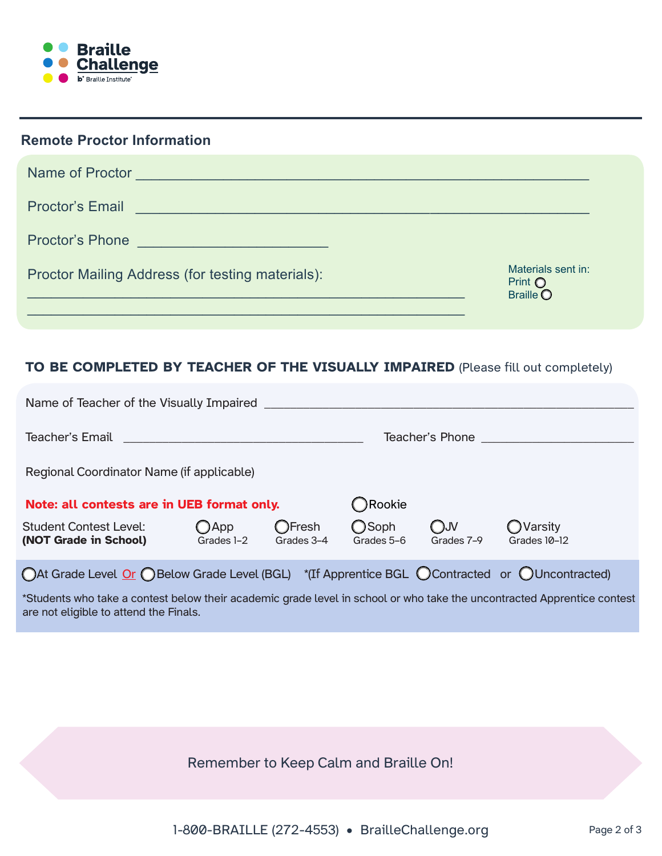

| <b>Remote Proctor Information</b>                                                                                                                                                                                                                       |                                                 |
|---------------------------------------------------------------------------------------------------------------------------------------------------------------------------------------------------------------------------------------------------------|-------------------------------------------------|
| Name of Proctor Name Contract of Proctor Name Contract of Proctor Name Contract of Proctor Name Contract of De                                                                                                                                          |                                                 |
| <b>Proctor's Email</b><br>the control of the control of the control of the control of the control of the control of the control of the control of the control of the control of the control of the control of the control of the control of the control |                                                 |
| Proctor's Phone <b>Contract of the Contract of the Contract of the Contract of Texas and Contract of Texas and Texas and Texas and Texas and Texas and Texas and Texas and Texas and Texas and Texas and Texas and Texas and Tex</b>                    |                                                 |
| Proctor Mailing Address (for testing materials):                                                                                                                                                                                                        | Materials sent in:<br>Print O<br><b>Braille</b> |
|                                                                                                                                                                                                                                                         |                                                 |

## **TO BE COMPLETED BY TEACHER OF THE VISUALLY IMPAIRED** (Please fill out completely)

| Name of Teacher of the Visually Impaired Name of Teacher and Teacher and Teacher and Teacher and Teacher and T |                              |                             |                             |                             |                                 |  |
|----------------------------------------------------------------------------------------------------------------|------------------------------|-----------------------------|-----------------------------|-----------------------------|---------------------------------|--|
|                                                                                                                |                              |                             | Teacher's Phone             |                             |                                 |  |
| Regional Coordinator Name (if applicable)                                                                      |                              |                             |                             |                             |                                 |  |
| Note: all contests are in UEB format only.                                                                     |                              | ◯Rookie                     |                             |                             |                                 |  |
| <b>Student Contest Level:</b><br>(NOT Grade in School)                                                         | $\bigcirc$ App<br>Grades 1-2 | <b>OFresh</b><br>Grades 3-4 | <b>O</b> Soph<br>Grades 5-6 | $\bigcirc$ JV<br>Grades 7-9 | <b>OVarsity</b><br>Grades 10-12 |  |
| ○At Grade Level Or ○Below Grade Level (BGL) *(If Apprentice BGL ○Contracted or ○Uncontracted)                  |                              |                             |                             |                             |                                 |  |

\*Students who take a contest below their academic grade level in school or who take the uncontracted Apprentice contest are not eligible to attend the Finals.

Remember to Keep Calm and Braille On!

1-800-BRAILLE (272-4553) • [BrailleChallenge.org](https://BrailleChallenge.org) Page 2 of 3